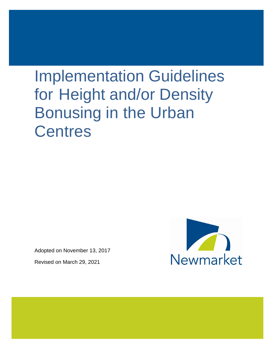# Implementation Guidelines for Height and/or Density Bonusing in the Urban **Centres**

Adopted on November 13, 2017

Revised on March 29, 2021

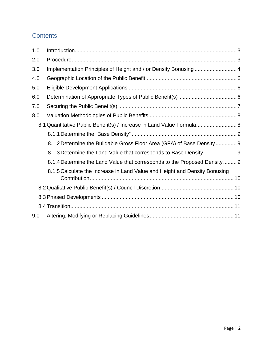# **Contents**

| 1.0 |                                                                            |
|-----|----------------------------------------------------------------------------|
| 2.0 |                                                                            |
| 3.0 |                                                                            |
| 4.0 |                                                                            |
| 5.0 |                                                                            |
| 6.0 |                                                                            |
| 7.0 |                                                                            |
| 8.0 |                                                                            |
|     | 8.1 Quantitative Public Benefit(s) / Increase in Land Value Formula 8      |
|     |                                                                            |
|     | 8.1.2 Determine the Buildable Gross Floor Area (GFA) of Base Density  9    |
|     |                                                                            |
|     | 8.1.4 Determine the Land Value that corresponds to the Proposed Density 9  |
|     | 8.1.5 Calculate the Increase in Land Value and Height and Density Bonusing |
|     |                                                                            |
|     |                                                                            |
|     |                                                                            |
| 9.0 |                                                                            |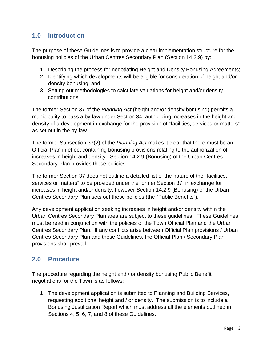## <span id="page-2-0"></span>**1.0 Introduction**

The purpose of these Guidelines is to provide a clear implementation structure for the bonusing policies of the Urban Centres Secondary Plan (Section 14.2.9) by:

- 1. Describing the process for negotiating Height and Density Bonusing Agreements;
- 2. Identifying which developments will be eligible for consideration of height and/or density bonusing; and
- 3. Setting out methodologies to calculate valuations for height and/or density contributions.

The former Section 37 of the *Planning Act* (height and/or density bonusing) permits a municipality to pass a by-law under Section 34, authorizing increases in the height and density of a development in exchange for the provision of "facilities, services or matters" as set out in the by-law.

The former Subsection 37(2) of the *Planning Act* makes it clear that there must be an Official Plan in effect containing bonusing provisions relating to the authorization of increases in height and density. Section 14.2.9 (Bonusing) of the Urban Centres Secondary Plan provides these policies.

The former Section 37 does not outline a detailed list of the nature of the "facilities, services or matters" to be provided under the former Section 37, in exchange for increases in height and/or density, however Section 14.2.9 (Bonusing) of the Urban Centres Secondary Plan sets out these policies (the "Public Benefits").

Any development application seeking increases in height and/or density within the Urban Centres Secondary Plan area are subject to these guidelines. These Guidelines must be read in conjunction with the policies of the Town Official Plan and the Urban Centres Secondary Plan. If any conflicts arise between Official Plan provisions / Urban Centres Secondary Plan and these Guidelines, the Official Plan / Secondary Plan provisions shall prevail.

# <span id="page-2-1"></span>**2.0 Procedure**

The procedure regarding the height and / or density bonusing Public Benefit negotiations for the Town is as follows:

1. The development application is submitted to Planning and Building Services, requesting additional height and / or density. The submission is to include a Bonusing Justification Report which must address all the elements outlined in Sections 4, 5, 6, 7, and 8 of these Guidelines.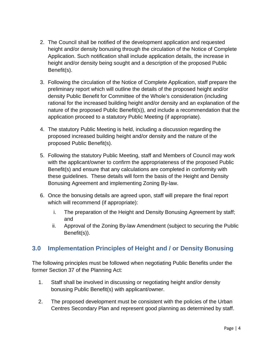- 2. The Council shall be notified of the development application and requested height and/or density bonusing through the circulation of the Notice of Complete Application. Such notification shall include application details, the increase in height and/or density being sought and a description of the proposed Public Benefit(s).
- 3. Following the circulation of the Notice of Complete Application, staff prepare the preliminary report which will outline the details of the proposed height and/or density Public Benefit for Committee of the Whole's consideration (including rational for the increased building height and/or density and an explanation of the nature of the proposed Public Benefit(s)), and include a recommendation that the application proceed to a statutory Public Meeting (if appropriate).
- 4. The statutory Public Meeting is held, including a discussion regarding the proposed increased building height and/or density and the nature of the proposed Public Benefit(s).
- 5. Following the statutory Public Meeting, staff and Members of Council may work with the applicant/owner to confirm the appropriateness of the proposed Public Benefit(s) and ensure that any calculations are completed in conformity with these guidelines. These details will form the basis of the Height and Density Bonusing Agreement and implementing Zoning By-law.
- 6. Once the bonusing details are agreed upon, staff will prepare the final report which will recommend (if appropriate):
	- i. The preparation of the Height and Density Bonusing Agreement by staff; and
	- ii. Approval of the Zoning By-law Amendment (subject to securing the Public Benefit(s)).

# <span id="page-3-0"></span>**3.0 Implementation Principles of Height and / or Density Bonusing**

The following principles must be followed when negotiating Public Benefits under the former Section 37 of the Planning Act:

- 1. Staff shall be involved in discussing or negotiating height and/or density bonusing Public Benefit(s) with applicant/owner.
- 2. The proposed development must be consistent with the policies of the Urban Centres Secondary Plan and represent good planning as determined by staff.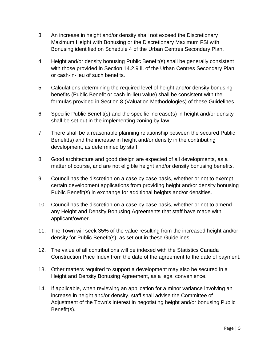- 3. An increase in height and/or density shall not exceed the Discretionary Maximum Height with Bonusing or the Discretionary Maximum FSI with Bonusing identified on Schedule 4 of the Urban Centres Secondary Plan.
- 4. Height and/or density bonusing Public Benefit(s) shall be generally consistent with those provided in Section 14.2.9 ii. of the Urban Centres Secondary Plan, or cash-in-lieu of such benefits.
- 5. Calculations determining the required level of height and/or density bonusing benefits (Public Benefit or cash-in-lieu value) shall be consistent with the formulas provided in Section 8 (Valuation Methodologies) of these Guidelines.
- 6. Specific Public Benefit(s) and the specific increase(s) in height and/or density shall be set out in the implementing zoning by-law.
- 7. There shall be a reasonable planning relationship between the secured Public Benefit(s) and the increase in height and/or density in the contributing development, as determined by staff.
- 8. Good architecture and good design are expected of all developments, as a matter of course, and are not eligible height and/or density bonusing benefits.
- 9. Council has the discretion on a case by case basis, whether or not to exempt certain development applications from providing height and/or density bonusing Public Benefit(s) in exchange for additional heights and/or densities.
- 10. Council has the discretion on a case by case basis, whether or not to amend any Height and Density Bonusing Agreements that staff have made with applicant/owner.
- 11. The Town will seek 35% of the value resulting from the increased height and/or density for Public Benefit(s), as set out in these Guidelines.
- 12. The value of all contributions will be indexed with the Statistics Canada Construction Price Index from the date of the agreement to the date of payment.
- 13. Other matters required to support a development may also be secured in a Height and Density Bonusing Agreement, as a legal convenience.
- 14. If applicable, when reviewing an application for a minor variance involving an increase in height and/or density, staff shall advise the Committee of Adjustment of the Town's interest in negotiating height and/or bonusing Public Benefit(s).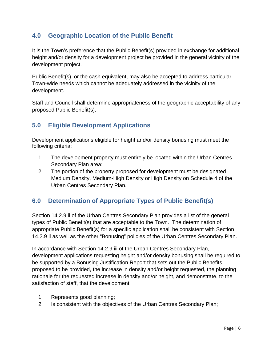## <span id="page-5-0"></span>**4.0 Geographic Location of the Public Benefit**

It is the Town's preference that the Public Benefit(s) provided in exchange for additional height and/or density for a development project be provided in the general vicinity of the development project.

Public Benefit(s), or the cash equivalent, may also be accepted to address particular Town-wide needs which cannot be adequately addressed in the vicinity of the development.

Staff and Council shall determine appropriateness of the geographic acceptability of any proposed Public Benefit(s).

## <span id="page-5-1"></span>**5.0 Eligible Development Applications**

Development applications eligible for height and/or density bonusing must meet the following criteria:

- 1. The development property must entirely be located within the Urban Centres Secondary Plan area;
- 2. The portion of the property proposed for development must be designated Medium Density, Medium-High Density or High Density on Schedule 4 of the Urban Centres Secondary Plan.

# <span id="page-5-2"></span>**6.0 Determination of Appropriate Types of Public Benefit(s)**

Section 14.2.9 ii of the Urban Centres Secondary Plan provides a list of the general types of Public Benefit(s) that are acceptable to the Town. The determination of appropriate Public Benefit(s) for a specific application shall be consistent with Section 14.2.9 ii as well as the other "Bonusing" policies of the Urban Centres Secondary Plan.

In accordance with Section 14.2.9 iii of the Urban Centres Secondary Plan, development applications requesting height and/or density bonusing shall be required to be supported by a Bonusing Justification Report that sets out the Public Benefits proposed to be provided, the increase in density and/or height requested, the planning rationale for the requested increase in density and/or height, and demonstrate, to the satisfaction of staff, that the development:

- 1. Represents good planning;
- 2. Is consistent with the objectives of the Urban Centres Secondary Plan;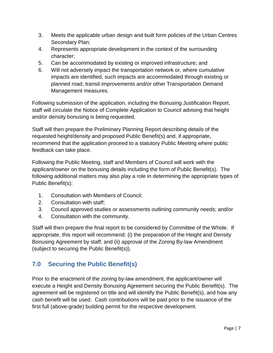- 3. Meets the applicable urban design and built form policies of the Urban Centres Secondary Plan;
- 4. Represents appropriate development in the context of the surrounding character;
- 5. Can be accommodated by existing or improved infrastructure; and
- 6. Will not adversely impact the transportation network or, where cumulative impacts are identified, such impacts are accommodated through existing or planned road, transit improvements and/or other Transportation Demand Management measures.

Following submission of the application, including the Bonusing Justification Report, staff will circulate the Notice of Complete Application to Council advising that height and/or density bonusing is being requested.

Staff will then prepare the Preliminary Planning Report describing details of the requested height/density and proposed Public Benefit(s) and, if appropriate, recommend that the application proceed to a statutory Public Meeting where public feedback can take place.

Following the Public Meeting, staff and Members of Council will work with the applicant/owner on the bonusing details including the form of Public Benefit(s). The following additional matters may also play a role in determining the appropriate types of Public Benefit(s):

- 1. Consultation with Members of Council;
- 2. Consultation with staff;
- 3. Council approved studies or assessments outlining community needs; and/or
- 4. Consultation with the community.

Staff will then prepare the final report to be considered by Committee of the Whole. If appropriate, this report will recommend: (i) the preparation of the Height and Density Bonusing Agreement by staff; and (ii) approval of the Zoning By-law Amendment (subject to securing the Public Benefit(s)).

# <span id="page-6-0"></span>**7.0 Securing the Public Benefit(s)**

Prior to the enactment of the zoning by-law amendment, the applicant/owner will execute a Height and Density Bonusing Agreement securing the Public Benefit(s). The agreement will be registered on title and will identify the Public Benefit(s), and how any cash benefit will be used. Cash contributions will be paid prior to the issuance of the first full (above-grade) building permit for the respective development.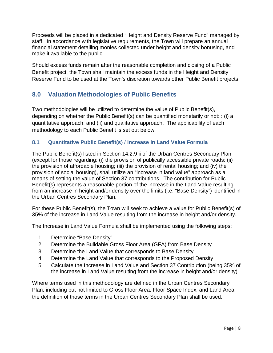Proceeds will be placed in a dedicated "Height and Density Reserve Fund" managed by staff. In accordance with legislative requirements, the Town will prepare an annual financial statement detailing monies collected under height and density bonusing, and make it available to the public.

Should excess funds remain after the reasonable completion and closing of a Public Benefit project, the Town shall maintain the excess funds in the Height and Density Reserve Fund to be used at the Town's discretion towards other Public Benefit projects.

## <span id="page-7-0"></span>**8.0 Valuation Methodologies of Public Benefits**

Two methodologies will be utilized to determine the value of Public Benefit(s), depending on whether the Public Benefit(s) can be quantified monetarily or not: : (i) a quantitative approach; and (ii) and qualitative approach. The applicability of each methodology to each Public Benefit is set out below.

## <span id="page-7-1"></span>**8.1 Quantitative Public Benefit(s) / Increase in Land Value Formula**

The Public Benefit(s) listed in Section 14.2.9 ii of the Urban Centres Secondary Plan (except for those regarding: (i) the provision of publically accessible private roads; (ii) the provision of affordable housing; (iii) the provision of rental housing; and (iv) the provision of social housing), shall utilize an "increase in land value" approach as a means of setting the value of Section 37 contributions. The contribution for Public Benefit(s) represents a reasonable portion of the increase in the Land Value resulting from an increase in height and/or density over the limits (i.e. "Base Density") identified in the Urban Centres Secondary Plan.

For these Public Benefit(s), the Town will seek to achieve a value for Public Benefit(s) of 35% of the increase in Land Value resulting from the increase in height and/or density.

The Increase in Land Value Formula shall be implemented using the following steps:

- 1. Determine "Base Density"
- 2. Determine the Buildable Gross Floor Area (GFA) from Base Density
- 3. Determine the Land Value that corresponds to Base Density
- 4. Determine the Land Value that corresponds to the Proposed Density
- 5. Calculate the Increase in Land Value and Section 37 Contribution (being 35% of the increase in Land Value resulting from the increase in height and/or density)

Where terms used in this methodology are defined in the Urban Centres Secondary Plan, including but not limited to Gross Floor Area, Floor Space Index, and Land Area, the definition of those terms in the Urban Centres Secondary Plan shall be used.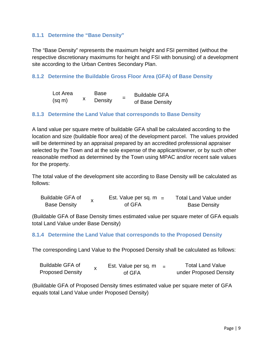#### <span id="page-8-0"></span>**8.1.1 Determine the "Base Density"**

The "Base Density" represents the maximum height and FSI permitted (without the respective discretionary maximums for height and FSI with bonusing) of a development site according to the Urban Centres Secondary Plan.

#### <span id="page-8-1"></span>**8.1.2 Determine the Buildable Gross Floor Area (GFA) of Base Density**

| Lot Area    |  | Base    | <b>Buildable GFA</b> |                 |
|-------------|--|---------|----------------------|-----------------|
| $(sq \, m)$ |  | Density |                      | of Base Density |

#### <span id="page-8-2"></span>**8.1.3 Determine the Land Value that corresponds to Base Density**

A land value per square metre of buildable GFA shall be calculated according to the location and size (buildable floor area) of the development parcel. The values provided will be determined by an appraisal prepared by an accredited professional appraiser selected by the Town and at the sole expense of the applicant/owner, or by such other reasonable method as determined by the Town using MPAC and/or recent sale values for the property.

The total value of the development site according to Base Density will be calculated as follows:

| Buildable GFA of    |  | Est. Value per sq. $m =$ | <b>Total Land Value under</b> |  |
|---------------------|--|--------------------------|-------------------------------|--|
| <b>Base Density</b> |  | of GFA                   | <b>Base Density</b>           |  |

(Buildable GFA of Base Density times estimated value per square meter of GFA equals total Land Value under Base Density) l.

#### <span id="page-8-3"></span>**8.1.4 Determine the Land Value that corresponds to the Proposed Density**

The corresponding Land Value to the Proposed Density shall be calculated as follows:

| <b>Buildable GFA of</b> | Est. Value per sq. m | $\overline{\phantom{0}}$ | <b>Total Land Value</b> |
|-------------------------|----------------------|--------------------------|-------------------------|
| <b>Proposed Density</b> | of GFA               |                          | under Proposed Density  |

(Buildable GFA of Proposed Density times estimated value per square meter of GFA equals total Land Value under Proposed Density)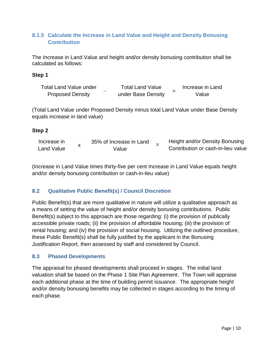## <span id="page-9-0"></span>**8.1.5 Calculate the Increase in Land Value and Height and Density Bonusing Contribution**

The Increase in Land Value and height and/or density bonusing contribution shall be calculated as follows:

#### **Step 1**

| Total Land Value under  | <b>Total Land Value</b> |                    |  | Increase in Land |
|-------------------------|-------------------------|--------------------|--|------------------|
| <b>Proposed Density</b> |                         | under Base Density |  | Value            |

(Total Land Value under Proposed Density minus total Land Value under Base Density equals increase in land value)

## **Step 2**

| Increase in       | 35% of Increase in Land | Height and/or Density Bonusing     |
|-------------------|-------------------------|------------------------------------|
| <b>Land Value</b> | Value                   | Contribution or cash-in-lieu value |

(Increase in Land Value times thirty-five per cent Increase in Land Value equals height and/or density bonusing contribution or cash-in-lieu value)

## <span id="page-9-1"></span>**8.2 Qualitative Public Benefit(s) / Council Discretion**

Public Benefit(s) that are more qualitative in nature will utilize a qualitative approach as a means of setting the value of height and/or density bonusing contributions. Public Benefit(s) subject to this approach are those regarding: (i) the provision of publically accessible private roads; (ii) the provision of affordable housing; (iii) the provision of rental housing; and (iv) the provision of social housing. Utilizing the outlined procedure, these Public Benefit(s) shall be fully justified by the applicant in the Bonusing Justification Report, then assessed by staff and considered by Council.

#### <span id="page-9-2"></span>**8.3 Phased Developments**

The appraisal for phased developments shall proceed in stages. The initial land valuation shall be based on the Phase 1 Site Plan Agreement. The Town will appraise each additional phase at the time of building permit issuance. The appropriate height and/or density bonusing benefits may be collected in stages according to the timing of each phase.